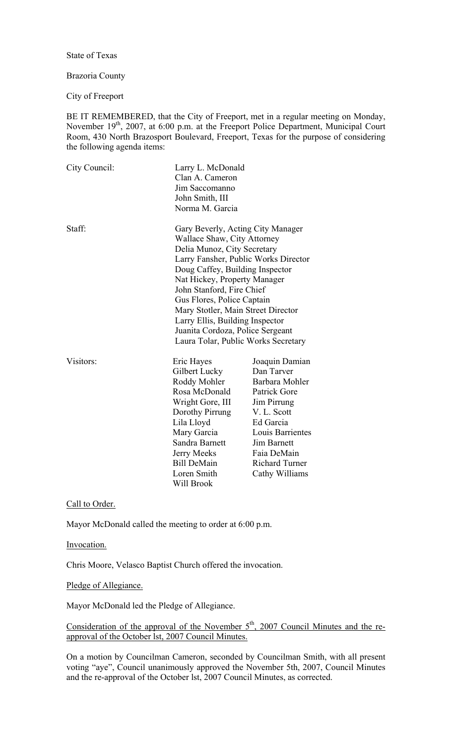State of Texas

### Brazoria County

City of Freeport

BE IT REMEMBERED, that the City of Freeport, met in a regular meeting on Monday, November 19<sup>th</sup>, 2007, at 6:00 p.m. at the Freeport Police Department, Municipal Court Room, 430 North Brazosport Boulevard, Freeport, Texas for the purpose of considering the following agenda items:

| City Council: | Clan A. Cameron<br>Jim Saccomanno<br>John Smith, III<br>Norma M. Garcia                                                                                                                                              | Larry L. McDonald                                                                                                                                                                                                                                                                                                                                                                                                         |  |
|---------------|----------------------------------------------------------------------------------------------------------------------------------------------------------------------------------------------------------------------|---------------------------------------------------------------------------------------------------------------------------------------------------------------------------------------------------------------------------------------------------------------------------------------------------------------------------------------------------------------------------------------------------------------------------|--|
| Staff:        |                                                                                                                                                                                                                      | Gary Beverly, Acting City Manager<br>Wallace Shaw, City Attorney<br>Delia Munoz, City Secretary<br>Larry Fansher, Public Works Director<br>Doug Caffey, Building Inspector<br>Nat Hickey, Property Manager<br>John Stanford, Fire Chief<br>Gus Flores, Police Captain<br>Mary Stotler, Main Street Director<br>Larry Ellis, Building Inspector<br>Juanita Cordoza, Police Sergeant<br>Laura Tolar, Public Works Secretary |  |
| Visitors:     | Eric Hayes<br>Gilbert Lucky<br>Roddy Mohler<br>Rosa McDonald<br>Wright Gore, III<br>Dorothy Pirrung<br>Lila Lloyd<br>Mary Garcia<br>Sandra Barnett<br>Jerry Meeks<br><b>Bill DeMain</b><br>Loren Smith<br>Will Brook | Joaquin Damian<br>Dan Tarver<br>Barbara Mohler<br>Patrick Gore<br>Jim Pirrung<br>V. L. Scott<br>Ed Garcia<br>Louis Barrientes<br><b>Jim Barnett</b><br>Faia DeMain<br><b>Richard Turner</b><br>Cathy Williams                                                                                                                                                                                                             |  |

Call to Order.

Mayor McDonald called the meeting to order at 6:00 p.m.

Invocation.

Chris Moore, Velasco Baptist Church offered the invocation.

# Pledge of Allegiance.

Mayor McDonald led the Pledge of Allegiance.

Consideration of the approval of the November  $5<sup>th</sup>$ , 2007 Council Minutes and the reapproval of the October lst, 2007 Council Minutes.

On a motion by Councilman Cameron, seconded by Councilman Smith, with all present voting "aye", Council unanimously approved the November 5th, 2007, Council Minutes and the re-approval of the October lst, 2007 Council Minutes, as corrected.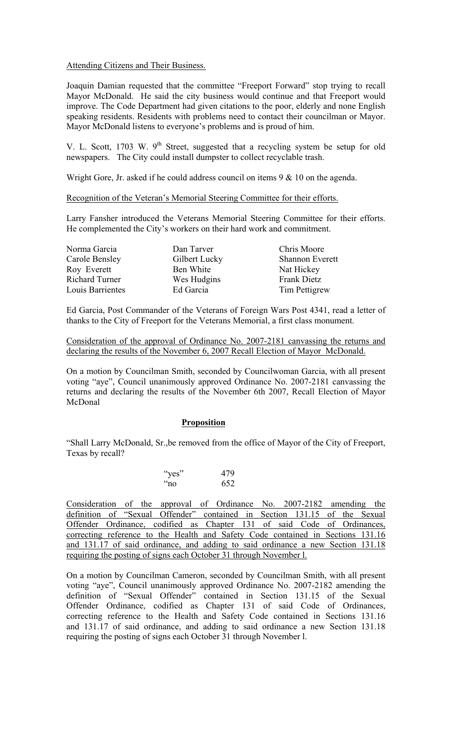### Attending Citizens and Their Business.

Joaquin Damian requested that the committee "Freeport Forward" stop trying to recall Mayor McDonald. He said the city business would continue and that Freeport would improve. The Code Department had given citations to the poor, elderly and none English speaking residents. Residents with problems need to contact their councilman or Mayor. Mayor McDonald listens to everyone's problems and is proud of him.

V. L. Scott, 1703 W.  $9<sup>th</sup>$  Street, suggested that a recycling system be setup for old newspapers. The City could install dumpster to collect recyclable trash.

Wright Gore, Jr. asked if he could address council on items 9 & 10 on the agenda.

Recognition of the Veteran's Memorial Steering Committee for their efforts.

Larry Fansher introduced the Veterans Memorial Steering Committee for their efforts. He complemented the City's workers on their hard work and commitment.

| Norma Garcia          | Dan Tarver    | Chris Moore            |
|-----------------------|---------------|------------------------|
| Carole Bensley        | Gilbert Lucky | <b>Shannon Everett</b> |
| Roy Everett           | Ben White     | Nat Hickey             |
| <b>Richard Turner</b> | Wes Hudgins   | <b>Frank Dietz</b>     |
| Louis Barrientes      | Ed Garcia     | Tim Pettigrew          |

Ed Garcia, Post Commander of the Veterans of Foreign Wars Post 4341, read a letter of thanks to the City of Freeport for the Veterans Memorial, a first class monument.

Consideration of the approval of Ordinance No. 2007-2181 canvassing the returns and declaring the results of the November 6, 2007 Recall Election of Mayor McDonald.

On a motion by Councilman Smith, seconded by Councilwoman Garcia, with all present voting "aye", Council unanimously approved Ordinance No. 2007-2181 canvassing the returns and declaring the results of the November 6th 2007, Recall Election of Mayor McDonal

### **Proposition**

"Shall Larry McDonald, Sr.,be removed from the office of Mayor of the City of Freeport, Texas by recall?

| "yes"       | 479 |
|-------------|-----|
| $\alpha$ no | 652 |

Consideration of the approval of Ordinance No. 2007-2182 amending the definition of "Sexual Offender" contained in Section 131.15 of the Sexual Offender Ordinance, codified as Chapter 131 of said Code of Ordinances, correcting reference to the Health and Safety Code contained in Sections 131.16 and 131.17 of said ordinance, and adding to said ordinance a new Section 131.18 requiring the posting of signs each October 31 through November 1.

On a motion by Councilman Cameron, seconded by Councilman Smith, with all present voting "aye", Council unanimously approved Ordinance No. 2007-2182 amending the definition of "Sexual Offender" contained in Section 131.15 of the Sexual Offender Ordinance, codified as Chapter 131 of said Code of Ordinances, correcting reference to the Health and Safety Code contained in Sections 131.16 and 131.17 of said ordinance, and adding to said ordinance a new Section 131.18 requiring the posting of signs each October 31 through November l.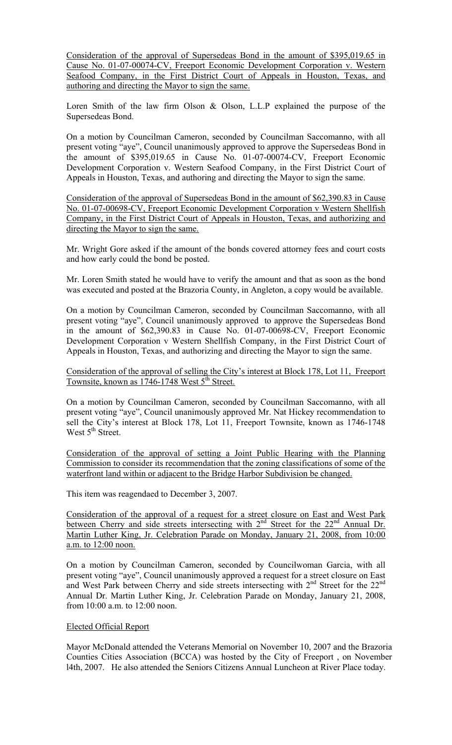Consideration of the approval of Supersedeas Bond in the amount of \$395,019.65 in Cause No. 01-07-00074-CV, Freeport Economic Development Corporation v. Western Seafood Company, in the First District Court of Appeals in Houston, Texas, and authoring and directing the Mayor to sign the same.

Loren Smith of the law firm Olson & Olson, L.L.P explained the purpose of the Supersedeas Bond.

On a motion by Councilman Cameron, seconded by Councilman Saccomanno, with all present voting "aye", Council unanimously approved to approve the Supersedeas Bond in the amount of \$395,019.65 in Cause No. 01-07-00074-CV, Freeport Economic Development Corporation v. Western Seafood Company, in the First District Court of Appeals in Houston, Texas, and authoring and directing the Mayor to sign the same.

Consideration of the approval of Supersedeas Bond in the amount of \$62,390.83 in Cause No. 01-07-00698-CV, Freeport Economic Development Corporation v Western Shellfish Company, in the First District Court of Appeals in Houston, Texas, and authorizing and directing the Mayor to sign the same.

Mr. Wright Gore asked if the amount of the bonds covered attorney fees and court costs and how early could the bond be posted.

Mr. Loren Smith stated he would have to verify the amount and that as soon as the bond was executed and posted at the Brazoria County, in Angleton, a copy would be available.

On a motion by Councilman Cameron, seconded by Councilman Saccomanno, with all present voting "aye", Council unanimously approved to approve the Supersedeas Bond in the amount of \$62,390.83 in Cause No. 01-07-00698-CV, Freeport Economic Development Corporation v Western Shellfish Company, in the First District Court of Appeals in Houston, Texas, and authorizing and directing the Mayor to sign the same.

Consideration of the approval of selling the City's interest at Block 178, Lot 11, Freeport Townsite, known as  $1746 - 1748$  West  $5^{\text{th}}$  Street.

On a motion by Councilman Cameron, seconded by Councilman Saccomanno, with all present voting "aye", Council unanimously approved Mr. Nat Hickey recommendation to sell the City's interest at Block 178, Lot 11, Freeport Townsite, known as 1746-1748 West  $5<sup>th</sup>$  Street.

Consideration of the approval of setting a Joint Public Hearing with the Planning Commission to consider its recommendation that the zoning classifications of some of the waterfront land within or adjacent to the Bridge Harbor Subdivision be changed.

This item was reagendaed to December 3, 2007.

Consideration of the approval of a request for a street closure on East and West Park between Cherry and side streets intersecting with  $2<sup>nd</sup>$  Street for the  $22<sup>nd</sup>$  Annual Dr. Martin Luther King, Jr. Celebration Parade on Monday, January 21, 2008, from 10:00 a.m. to 12:00 noon.

On a motion by Councilman Cameron, seconded by Councilwoman Garcia, with all present voting "aye", Council unanimously approved a request for a street closure on East and West Park between Cherry and side streets intersecting with 2<sup>nd</sup> Street for the 22<sup>nd</sup> Annual Dr. Martin Luther King, Jr. Celebration Parade on Monday, January 21, 2008, from 10:00 a.m. to 12:00 noon.

# Elected Official Report

Mayor McDonald attended the Veterans Memorial on November 10, 2007 and the Brazoria Counties Cities Association (BCCA) was hosted by the City of Freeport , on November l4th, 2007. He also attended the Seniors Citizens Annual Luncheon at River Place today.